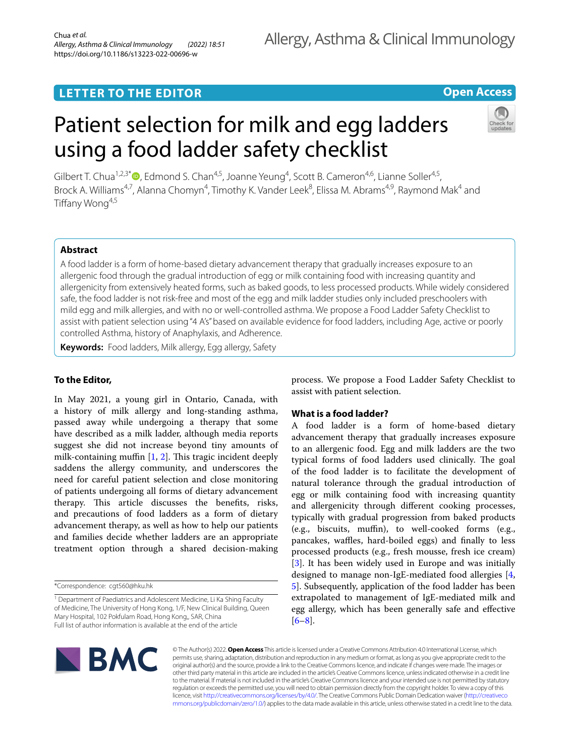## **LETTER TO THE EDITOR**

## **Open Access**

# Patient selection for milk and egg ladders using a food ladder safety checklist



Gilbert T. Chua<sup>1,2,3[\\*](http://orcid.org/0000-0003-0333-0059)</sup><sup>®</sup>, Edmond S. Chan<sup>4,5</sup>, Joanne Yeung<sup>4</sup>, Scott B. Cameron<sup>4,6</sup>, Lianne Soller<sup>4,5</sup>, Brock A. Williams<sup>4,7</sup>, Alanna Chomyn<sup>4</sup>, Timothy K. Vander Leek<sup>8</sup>, Elissa M. Abrams<sup>4,9</sup>, Raymond Mak<sup>4</sup> and Tiffany Wong<sup>4,5</sup>

## **Abstract**

A food ladder is a form of home-based dietary advancement therapy that gradually increases exposure to an allergenic food through the gradual introduction of egg or milk containing food with increasing quantity and allergenicity from extensively heated forms, such as baked goods, to less processed products. While widely considered safe, the food ladder is not risk-free and most of the egg and milk ladder studies only included preschoolers with mild egg and milk allergies, and with no or well-controlled asthma. We propose a Food Ladder Safety Checklist to assist with patient selection using "4 A's" based on available evidence for food ladders, including Age, active or poorly controlled Asthma, history of Anaphylaxis, and Adherence.

**Keywords:** Food ladders, Milk allergy, Egg allergy, Safety

## **To the Editor,**

In May 2021, a young girl in Ontario, Canada, with a history of milk allergy and long-standing asthma, passed away while undergoing a therapy that some have described as a milk ladder, although media reports suggest she did not increase beyond tiny amounts of milk-containing muffin  $[1, 2]$  $[1, 2]$  $[1, 2]$  $[1, 2]$ . This tragic incident deeply saddens the allergy community, and underscores the need for careful patient selection and close monitoring of patients undergoing all forms of dietary advancement therapy. This article discusses the benefits, risks, and precautions of food ladders as a form of dietary advancement therapy, as well as how to help our patients and families decide whether ladders are an appropriate treatment option through a shared decision-making

\*Correspondence: cgt560@hku.hk

<sup>1</sup> Department of Paediatrics and Adolescent Medicine, Li Ka Shing Faculty of Medicine, The University of Hong Kong, 1/F, New Clinical Building, Queen Mary Hospital, 102 Pokfulam Road, Hong Kong,, SAR, China Full list of author information is available at the end of the article

process. We propose a Food Ladder Safety Checklist to assist with patient selection.

## **What is a food ladder?**

A food ladder is a form of home-based dietary advancement therapy that gradually increases exposure to an allergenic food. Egg and milk ladders are the two typical forms of food ladders used clinically. The goal of the food ladder is to facilitate the development of natural tolerance through the gradual introduction of egg or milk containing food with increasing quantity and allergenicity through diferent cooking processes, typically with gradual progression from baked products (e.g., biscuits, muffin), to well-cooked forms (e.g., pancakes, waffles, hard-boiled eggs) and finally to less processed products (e.g., fresh mousse, fresh ice cream) [[3\]](#page-4-2). It has been widely used in Europe and was initially designed to manage non-IgE-mediated food allergies [\[4](#page-4-3), [5\]](#page-4-4). Subsequently, application of the food ladder has been extrapolated to management of IgE-mediated milk and egg allergy, which has been generally safe and efective  $[6-8]$  $[6-8]$ .



© The Author(s) 2022. **Open Access** This article is licensed under a Creative Commons Attribution 4.0 International License, which permits use, sharing, adaptation, distribution and reproduction in any medium or format, as long as you give appropriate credit to the original author(s) and the source, provide a link to the Creative Commons licence, and indicate if changes were made. The images or other third party material in this article are included in the article's Creative Commons licence, unless indicated otherwise in a credit line to the material. If material is not included in the article's Creative Commons licence and your intended use is not permitted by statutory regulation or exceeds the permitted use, you will need to obtain permission directly from the copyright holder. To view a copy of this licence, visit [http://creativecommons.org/licenses/by/4.0/.](http://creativecommons.org/licenses/by/4.0/) The Creative Commons Public Domain Dedication waiver ([http://creativeco](http://creativecommons.org/publicdomain/zero/1.0/) [mmons.org/publicdomain/zero/1.0/](http://creativecommons.org/publicdomain/zero/1.0/)) applies to the data made available in this article, unless otherwise stated in a credit line to the data.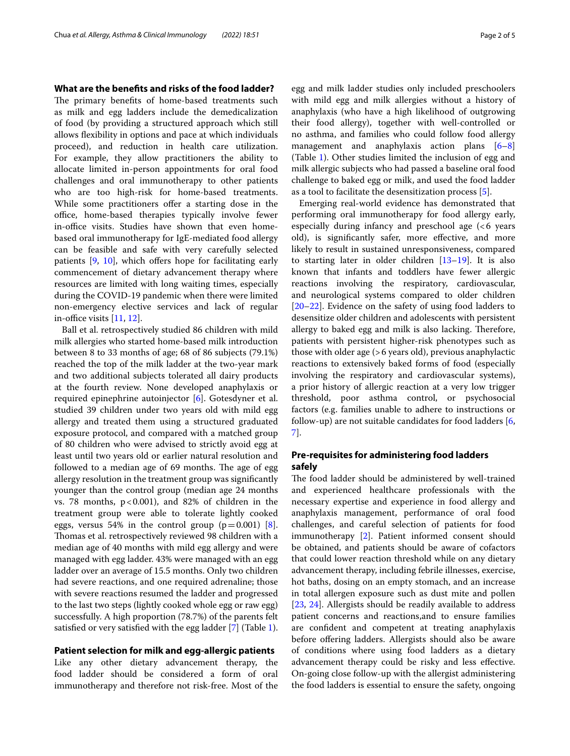#### **What are the benefts and risks of the food ladder?**

The primary benefits of home-based treatments such as milk and egg ladders include the demedicalization of food (by providing a structured approach which still allows fexibility in options and pace at which individuals proceed), and reduction in health care utilization. For example, they allow practitioners the ability to allocate limited in-person appointments for oral food challenges and oral immunotherapy to other patients who are too high-risk for home-based treatments. While some practitioners offer a starting dose in the office, home-based therapies typically involve fewer in-office visits. Studies have shown that even homebased oral immunotherapy for IgE-mediated food allergy can be feasible and safe with very carefully selected patients  $[9, 10]$  $[9, 10]$  $[9, 10]$  $[9, 10]$ , which offers hope for facilitating early commencement of dietary advancement therapy where resources are limited with long waiting times, especially during the COVID-19 pandemic when there were limited non-emergency elective services and lack of regular in-office visits  $[11, 12]$  $[11, 12]$  $[11, 12]$  $[11, 12]$ .

Ball et al. retrospectively studied 86 children with mild milk allergies who started home-based milk introduction between 8 to 33 months of age; 68 of 86 subjects (79.1%) reached the top of the milk ladder at the two-year mark and two additional subjects tolerated all dairy products at the fourth review. None developed anaphylaxis or required epinephrine autoinjector [[6\]](#page-4-5). Gotesdyner et al. studied 39 children under two years old with mild egg allergy and treated them using a structured graduated exposure protocol, and compared with a matched group of 80 children who were advised to strictly avoid egg at least until two years old or earlier natural resolution and followed to a median age of 69 months. The age of egg allergy resolution in the treatment group was signifcantly younger than the control group (median age 24 months vs. 78 months,  $p < 0.001$ ), and 82% of children in the treatment group were able to tolerate lightly cooked eggs, versus 54% in the control group  $(p=0.001)$  [\[8](#page-4-6)]. Thomas et al. retrospectively reviewed 98 children with a median age of 40 months with mild egg allergy and were managed with egg ladder. 43% were managed with an egg ladder over an average of 15.5 months. Only two children had severe reactions, and one required adrenaline; those with severe reactions resumed the ladder and progressed to the last two steps (lightly cooked whole egg or raw egg) successfully. A high proportion (78.7%) of the parents felt satisfed or very satisfed with the egg ladder [[7\]](#page-4-11) (Table [1](#page-2-0)).

#### **Patient selection for milk and egg‑allergic patients**

Like any other dietary advancement therapy, the food ladder should be considered a form of oral immunotherapy and therefore not risk-free. Most of the egg and milk ladder studies only included preschoolers with mild egg and milk allergies without a history of anaphylaxis (who have a high likelihood of outgrowing their food allergy), together with well-controlled or no asthma, and families who could follow food allergy management and anaphylaxis action plans [[6–](#page-4-5)[8](#page-4-6)] (Table [1](#page-2-0)). Other studies limited the inclusion of egg and milk allergic subjects who had passed a baseline oral food challenge to baked egg or milk, and used the food ladder as a tool to facilitate the desensitization process [[5\]](#page-4-4).

Emerging real-world evidence has demonstrated that performing oral immunotherapy for food allergy early, especially during infancy and preschool age (<6 years old), is signifcantly safer, more efective, and more likely to result in sustained unresponsiveness, compared to starting later in older children [\[13](#page-4-12)–[19\]](#page-4-13). It is also known that infants and toddlers have fewer allergic reactions involving the respiratory, cardiovascular, and neurological systems compared to older children [[20–](#page-4-14)[22\]](#page-4-15). Evidence on the safety of using food ladders to desensitize older children and adolescents with persistent allergy to baked egg and milk is also lacking. Therefore, patients with persistent higher-risk phenotypes such as those with older age (>6 years old), previous anaphylactic reactions to extensively baked forms of food (especially involving the respiratory and cardiovascular systems), a prior history of allergic reaction at a very low trigger threshold, poor asthma control, or psychosocial factors (e.g. families unable to adhere to instructions or follow-up) are not suitable candidates for food ladders [\[6](#page-4-5), [7\]](#page-4-11).

## **Pre‑requisites for administering food ladders safely**

The food ladder should be administered by well-trained and experienced healthcare professionals with the necessary expertise and experience in food allergy and anaphylaxis management, performance of oral food challenges, and careful selection of patients for food immunotherapy [\[2](#page-4-1)]. Patient informed consent should be obtained, and patients should be aware of cofactors that could lower reaction threshold while on any dietary advancement therapy, including febrile illnesses, exercise, hot baths, dosing on an empty stomach, and an increase in total allergen exposure such as dust mite and pollen [[23,](#page-4-16) [24](#page-4-17)]. Allergists should be readily available to address patient concerns and reactions,and to ensure families are confdent and competent at treating anaphylaxis before offering ladders. Allergists should also be aware of conditions where using food ladders as a dietary advancement therapy could be risky and less efective. On-going close follow-up with the allergist administering the food ladders is essential to ensure the safety, ongoing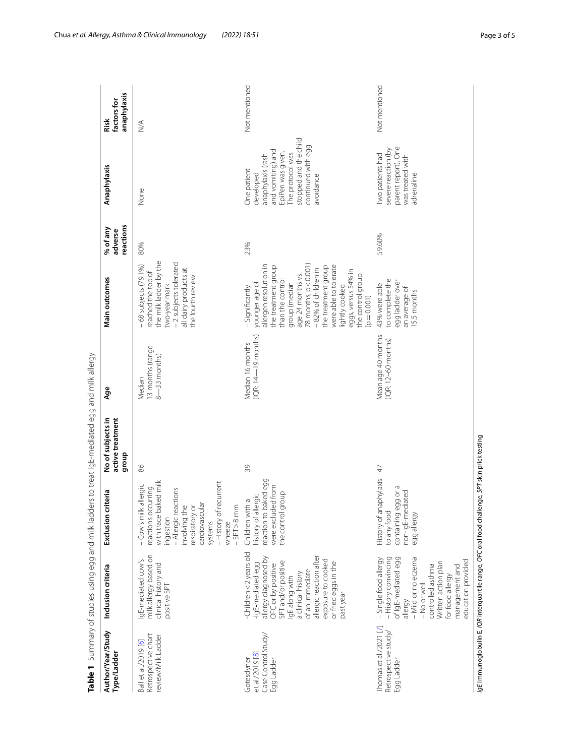|                                                                    |                                                                                                                                                                                                                                                                  | Table 1 Summary of studies using egg and milk ladders to treat lgE-mediated egg and milk allergy                                                                                                                                  |                                                 |                                                |                                                                                                                                                                                                                                                                                                                                |                                  |                                                                                                                                                                         |                                    |
|--------------------------------------------------------------------|------------------------------------------------------------------------------------------------------------------------------------------------------------------------------------------------------------------------------------------------------------------|-----------------------------------------------------------------------------------------------------------------------------------------------------------------------------------------------------------------------------------|-------------------------------------------------|------------------------------------------------|--------------------------------------------------------------------------------------------------------------------------------------------------------------------------------------------------------------------------------------------------------------------------------------------------------------------------------|----------------------------------|-------------------------------------------------------------------------------------------------------------------------------------------------------------------------|------------------------------------|
| Author/Year/Study<br>Type/Ladder                                   | Inclusion criteria                                                                                                                                                                                                                                               | criteria<br>Exclusion                                                                                                                                                                                                             | No of subjects in<br>active treatment<br>dho.f6 | Age                                            | Main outcomes                                                                                                                                                                                                                                                                                                                  | reactions<br>% of any<br>adverse | Anaphylaxis                                                                                                                                                             | anaphylaxis<br>factors for<br>Risk |
| Retrospective chart<br>review/Milk Ladder<br>Ball et al/2019 [6]   | milk allergy based on<br>IgE-mediated cow's<br>clinical history and<br>positive SPT                                                                                                                                                                              | with trace baked milk<br>- History of recurrent<br>- Cow's milk allergic<br>reactions occurring<br>- Allergic reactions<br>cardiovascular<br>nvolving the<br>respiratory or<br>$-$ SPT $>$ 8 mm<br>ingestion<br>systems<br>wheeze | 86                                              | 13 months (range<br>$8 - 33$ months)<br>Median | the milk ladder by the<br>- 2 subjects tolerated<br>$-68$ subjects (79.1%)<br>all dairy products at<br>reached the top of<br>the fourth review<br>two-year mark                                                                                                                                                                | 80%                              | None                                                                                                                                                                    | $\leq$                             |
| Case Control Study/<br>et al./2019 [8]<br>Gotesdyner<br>Egg Ladder | -Children<2 years old<br>allergic reaction after<br>allergy diagnosed by<br>exposure to cooked<br>SPT and/or positive<br>or fried eggs in the<br>-IgE-mediated egg<br>OFC or by positive<br>of an immediate<br>a clinical history<br>IgE along with<br>past year | eaction to baked egg<br>were excluded from<br>dronb<br>history of allergic<br>Children with a<br>the control                                                                                                                      | $\Im$                                           | $(IR: 14-19$ months)<br>Median 16 months       | allergen resolution in<br>$78$ months, $p < 0.001$<br>were able to tolerate<br>the treatment group<br>the treatment group<br>-82% of children in<br>eggs, versus 54% in<br>age 24 months vs.<br>the control group<br>than the control<br>younger age of<br>group (median<br>lightly cooked<br>- Significantly<br>$(p = 0.001)$ | 23%                              | stopped and the child<br>continued with egg<br>and vomiting) and<br>EpiPen was given.<br>The protocol was<br>anaphylaxis (rash<br>One patient<br>developed<br>avoidance | Not mentioned                      |
| Thomas et al./2021 [7]<br>Retrospective study<br>Egg Ladder        | - History convincing<br>of IgE-mediated egg<br>- Mild or no eczema<br>-Single food allergy<br>education provided<br>Written action plan<br>controlled asthma<br>management and<br>for food allergy<br>-No or well-<br>allergy                                    | History of anaphylaxis<br>containing egg or a<br>non-IgE-mediated<br>to any food<br>egg allergy                                                                                                                                   | 47                                              | Mean age 40 months<br>$(IQR: 12-60$ months)    | to complete the<br>egg ladder over<br>43% were able<br>an average of<br>15.5 months                                                                                                                                                                                                                                            | 59.60%                           | parent report). One<br>severe reaction (by<br>Two patients had<br>was treated with<br>adrenaline                                                                        | Not mentioned                      |
|                                                                    | la Elmmunoqlobulin E, /QR interquartile range, OFC oral food chall                                                                                                                                                                                               |                                                                                                                                                                                                                                   | lenge, SPT skin prick testing                   |                                                |                                                                                                                                                                                                                                                                                                                                |                                  |                                                                                                                                                                         |                                    |

<span id="page-2-0"></span>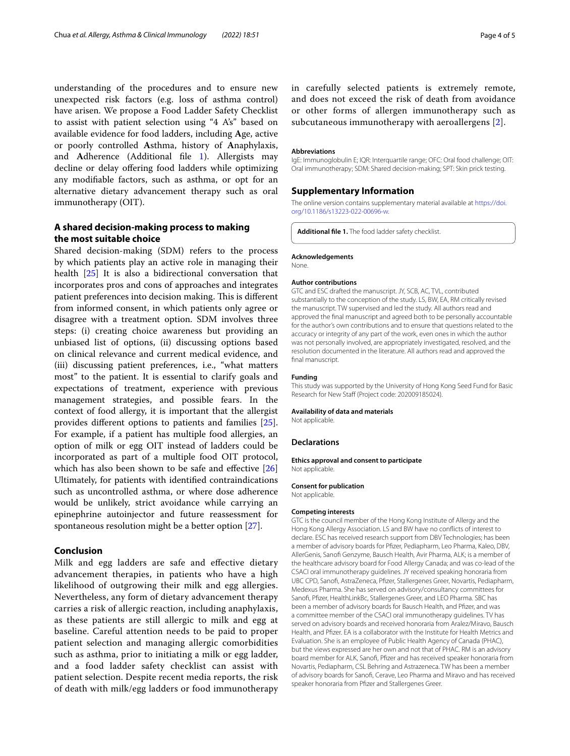understanding of the procedures and to ensure new unexpected risk factors (e.g. loss of asthma control) have arisen. We propose a Food Ladder Safety Checklist to assist with patient selection using "4 A's" based on available evidence for food ladders, including **A**ge, active or poorly controlled **A**sthma, history of **A**naphylaxis, and **Adherence** (Additional file [1](#page-3-0)). Allergists may decline or delay ofering food ladders while optimizing any modifable factors, such as asthma, or opt for an alternative dietary advancement therapy such as oral immunotherapy (OIT).

## **A shared decision‑making process to making the most suitable choice**

Shared decision-making (SDM) refers to the process by which patients play an active role in managing their health [\[25](#page-4-18)] It is also a bidirectional conversation that incorporates pros and cons of approaches and integrates patient preferences into decision making. This is different from informed consent, in which patients only agree or disagree with a treatment option. SDM involves three steps: (i) creating choice awareness but providing an unbiased list of options, (ii) discussing options based on clinical relevance and current medical evidence, and (iii) discussing patient preferences, i.e., "what matters most" to the patient. It is essential to clarify goals and expectations of treatment, experience with previous management strategies, and possible fears. In the context of food allergy, it is important that the allergist provides diferent options to patients and families [\[25](#page-4-18)]. For example, if a patient has multiple food allergies, an option of milk or egg OIT instead of ladders could be incorporated as part of a multiple food OIT protocol, which has also been shown to be safe and effective [[26](#page-4-19)] Ultimately, for patients with identifed contraindications such as uncontrolled asthma, or where dose adherence would be unlikely, strict avoidance while carrying an epinephrine autoinjector and future reassessment for spontaneous resolution might be a better option [\[27\]](#page-4-20).

## **Conclusion**

Milk and egg ladders are safe and efective dietary advancement therapies, in patients who have a high likelihood of outgrowing their milk and egg allergies. Nevertheless, any form of dietary advancement therapy carries a risk of allergic reaction, including anaphylaxis, as these patients are still allergic to milk and egg at baseline. Careful attention needs to be paid to proper patient selection and managing allergic comorbidities such as asthma, prior to initiating a milk or egg ladder, and a food ladder safety checklist can assist with patient selection. Despite recent media reports, the risk of death with milk/egg ladders or food immunotherapy in carefully selected patients is extremely remote, and does not exceed the risk of death from avoidance or other forms of allergen immunotherapy such as subcutaneous immunotherapy with aeroallergens [[2](#page-4-1)].

#### **Abbreviations**

IgE: Immunoglobulin E; IQR: Interquartile range; OFC: Oral food challenge; OIT: Oral immunotherapy; SDM: Shared decision-making; SPT: Skin prick testing.

#### **Supplementary Information**

The online version contains supplementary material available at [https://doi.](https://doi.org/10.1186/s13223-022-00696-w) [org/10.1186/s13223-022-00696-w.](https://doi.org/10.1186/s13223-022-00696-w)

<span id="page-3-0"></span>**Additional fle 1.** The food ladder safety checklist.

#### **Acknowledgements**

None.

#### **Author contributions**

GTC and ESC drafted the manuscript. JY, SCB, AC, TVL, contributed substantially to the conception of the study. LS, BW, EA, RM critically revised the manuscript. TW supervised and led the study. All authors read and approved the fnal manuscript and agreed both to be personally accountable for the author's own contributions and to ensure that questions related to the accuracy or integrity of any part of the work, even ones in which the author was not personally involved, are appropriately investigated, resolved, and the resolution documented in the literature. All authors read and approved the final manuscript.

#### **Funding**

This study was supported by the University of Hong Kong Seed Fund for Basic Research for New Staff (Project code: 202009185024).

#### **Availability of data and materials**

Not applicable.

#### **Declarations**

#### **Ethics approval and consent to participate** Not applicable.

#### **Consent for publication**

Not applicable.

#### **Competing interests**

GTC is the council member of the Hong Kong Institute of Allergy and the Hong Kong Allergy Association. LS and BW have no conficts of interest to declare. ESC has received research support from DBV Technologies; has been a member of advisory boards for Pfzer, Pediapharm, Leo Pharma, Kaleo, DBV, AllerGenis, Sanof Genzyme, Bausch Health, Avir Pharma, ALK; is a member of the healthcare advisory board for Food Allergy Canada; and was co-lead of the CSACI oral immunotherapy guidelines. JY received speaking honoraria from UBC CPD, Sanof, AstraZeneca, Pfzer, Stallergenes Greer, Novartis, Pediapharm, Medexus Pharma. She has served on advisory/consultancy committees for Sanof, Pfzer, HealthLinkBc, Stallergenes Greer, and LEO Pharma. SBC has been a member of advisory boards for Bausch Health, and Pfizer, and was a committee member of the CSACI oral immunotherapy guidelines. TV has served on advisory boards and received honoraria from Aralez/Miravo, Bausch Health, and Pfzer. EA is a collaborator with the Institute for Health Metrics and Evaluation. She is an employee of Public Health Agency of Canada (PHAC), but the views expressed are her own and not that of PHAC. RM is an advisory board member for ALK, Sanof, Pfzer and has received speaker honoraria from Novartis, Pediapharm, CSL Behring and Astrazeneca. TW has been a member of advisory boards for Sanof, Cerave, Leo Pharma and Miravo and has received speaker honoraria from Pfzer and Stallergenes Greer.